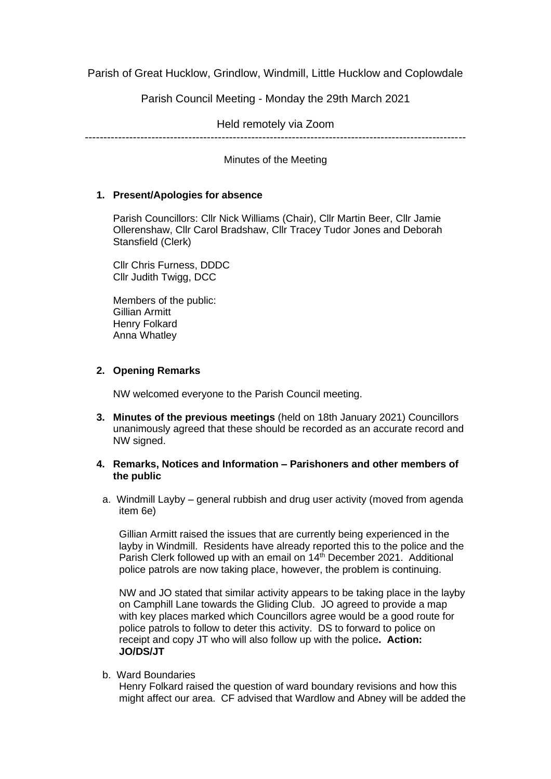Parish of Great Hucklow, Grindlow, Windmill, Little Hucklow and Coplowdale

Parish Council Meeting - Monday the 29th March 2021

Held remotely via Zoom

-------------------------------------------------------------------------------------------------------

Minutes of the Meeting

## **1. Present/Apologies for absence**

Parish Councillors: Cllr Nick Williams (Chair), Cllr Martin Beer, Cllr Jamie Ollerenshaw, Cllr Carol Bradshaw, Cllr Tracey Tudor Jones and Deborah Stansfield (Clerk)

Cllr Chris Furness, DDDC Cllr Judith Twigg, DCC

Members of the public: Gillian Armitt Henry Folkard Anna Whatley

# **2. Opening Remarks**

NW welcomed everyone to the Parish Council meeting.

**3. Minutes of the previous meetings** (held on 18th January 2021) Councillors unanimously agreed that these should be recorded as an accurate record and NW signed.

## **4. Remarks, Notices and Information – Parishoners and other members of the public**

a. Windmill Layby – general rubbish and drug user activity (moved from agenda item 6e)

Gillian Armitt raised the issues that are currently being experienced in the layby in Windmill. Residents have already reported this to the police and the Parish Clerk followed up with an email on 14<sup>th</sup> December 2021. Additional police patrols are now taking place, however, the problem is continuing.

NW and JO stated that similar activity appears to be taking place in the layby on Camphill Lane towards the Gliding Club. JO agreed to provide a map with key places marked which Councillors agree would be a good route for police patrols to follow to deter this activity. DS to forward to police on receipt and copy JT who will also follow up with the police**. Action: JO/DS/JT**

b. Ward Boundaries

Henry Folkard raised the question of ward boundary revisions and how this might affect our area. CF advised that Wardlow and Abney will be added the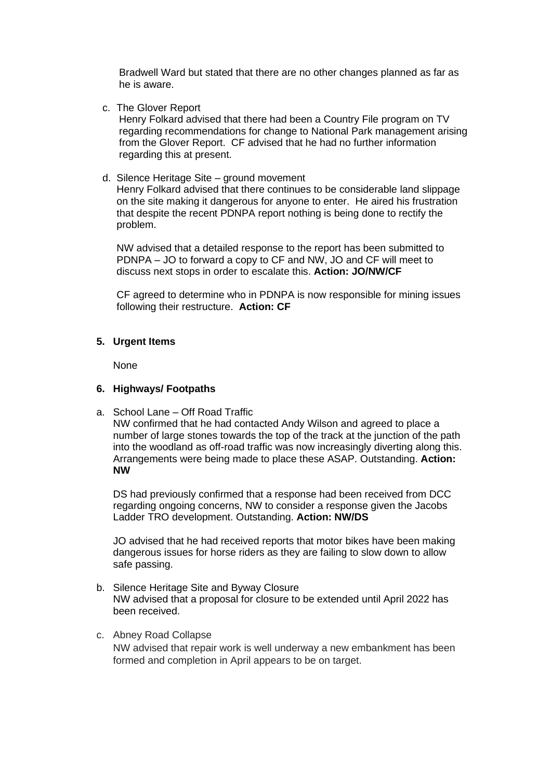Bradwell Ward but stated that there are no other changes planned as far as he is aware.

c. The Glover Report

Henry Folkard advised that there had been a Country File program on TV regarding recommendations for change to National Park management arising from the Glover Report. CF advised that he had no further information regarding this at present.

d. Silence Heritage Site – ground movement

Henry Folkard advised that there continues to be considerable land slippage on the site making it dangerous for anyone to enter. He aired his frustration that despite the recent PDNPA report nothing is being done to rectify the problem.

NW advised that a detailed response to the report has been submitted to PDNPA – JO to forward a copy to CF and NW, JO and CF will meet to discuss next stops in order to escalate this. **Action: JO/NW/CF**

CF agreed to determine who in PDNPA is now responsible for mining issues following their restructure. **Action: CF**

## **5. Urgent Items**

None

## **6. Highways/ Footpaths**

a. School Lane – Off Road Traffic

NW confirmed that he had contacted Andy Wilson and agreed to place a number of large stones towards the top of the track at the junction of the path into the woodland as off-road traffic was now increasingly diverting along this. Arrangements were being made to place these ASAP. Outstanding. **Action: NW**

DS had previously confirmed that a response had been received from DCC regarding ongoing concerns, NW to consider a response given the Jacobs Ladder TRO development. Outstanding. **Action: NW/DS**

JO advised that he had received reports that motor bikes have been making dangerous issues for horse riders as they are failing to slow down to allow safe passing.

- b. Silence Heritage Site and Byway Closure NW advised that a proposal for closure to be extended until April 2022 has been received.
- c. Abney Road Collapse NW advised that repair work is well underway a new embankment has been formed and completion in April appears to be on target.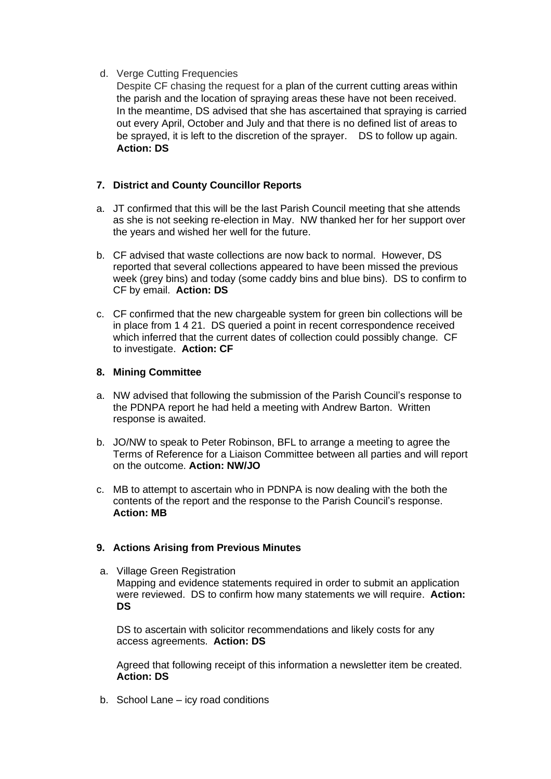## d. Verge Cutting Frequencies

Despite CF chasing the request for a plan of the current cutting areas within the parish and the location of spraying areas these have not been received. In the meantime, DS advised that she has ascertained that spraying is carried out every April, October and July and that there is no defined list of areas to be sprayed, it is left to the discretion of the sprayer. DS to follow up again. **Action: DS**

# **7. District and County Councillor Reports**

- a. JT confirmed that this will be the last Parish Council meeting that she attends as she is not seeking re-election in May. NW thanked her for her support over the years and wished her well for the future.
- b. CF advised that waste collections are now back to normal. However, DS reported that several collections appeared to have been missed the previous week (grey bins) and today (some caddy bins and blue bins). DS to confirm to CF by email. **Action: DS**
- c. CF confirmed that the new chargeable system for green bin collections will be in place from 1 4 21. DS queried a point in recent correspondence received which inferred that the current dates of collection could possibly change. CF to investigate. **Action: CF**

# **8. Mining Committee**

- a. NW advised that following the submission of the Parish Council's response to the PDNPA report he had held a meeting with Andrew Barton. Written response is awaited.
- b. JO/NW to speak to Peter Robinson, BFL to arrange a meeting to agree the Terms of Reference for a Liaison Committee between all parties and will report on the outcome. **Action: NW/JO**
- c. MB to attempt to ascertain who in PDNPA is now dealing with the both the contents of the report and the response to the Parish Council's response. **Action: MB**

# **9. Actions Arising from Previous Minutes**

a. Village Green Registration Mapping and evidence statements required in order to submit an application were reviewed. DS to confirm how many statements we will require. **Action: DS**

DS to ascertain with solicitor recommendations and likely costs for any access agreements. **Action: DS**

Agreed that following receipt of this information a newsletter item be created. **Action: DS**

b. School Lane – icy road conditions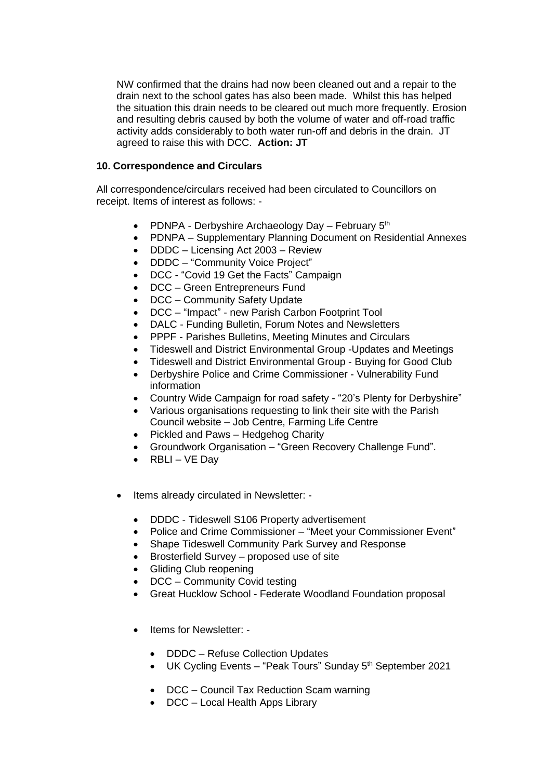NW confirmed that the drains had now been cleaned out and a repair to the drain next to the school gates has also been made. Whilst this has helped the situation this drain needs to be cleared out much more frequently. Erosion and resulting debris caused by both the volume of water and off-road traffic activity adds considerably to both water run-off and debris in the drain. JT agreed to raise this with DCC. **Action: JT**

#### **10. Correspondence and Circulars**

All correspondence/circulars received had been circulated to Councillors on receipt. Items of interest as follows: -

- PDNPA Derbyshire Archaeology Day February  $5<sup>th</sup>$
- PDNPA Supplementary Planning Document on Residential Annexes
- DDDC Licensing Act 2003 Review
- DDDC "Community Voice Project"
- DCC "Covid 19 Get the Facts" Campaign
- DCC Green Entrepreneurs Fund
- DCC Community Safety Update
- DCC "Impact" new Parish Carbon Footprint Tool
- DALC Funding Bulletin, Forum Notes and Newsletters
- PPPF Parishes Bulletins, Meeting Minutes and Circulars
- Tideswell and District Environmental Group -Updates and Meetings
- Tideswell and District Environmental Group Buying for Good Club
- Derbyshire Police and Crime Commissioner Vulnerability Fund information
- Country Wide Campaign for road safety "20's Plenty for Derbyshire"
- Various organisations requesting to link their site with the Parish Council website – Job Centre, Farming Life Centre
- Pickled and Paws Hedgehog Charity
- Groundwork Organisation "Green Recovery Challenge Fund".
- RBLI  $VE$  Day
- Items already circulated in Newsletter:
	- DDDC Tideswell S106 Property advertisement
	- Police and Crime Commissioner "Meet your Commissioner Event"
	- Shape Tideswell Community Park Survey and Response
	- Brosterfield Survey proposed use of site
	- Gliding Club reopening
	- DCC Community Covid testing
	- Great Hucklow School Federate Woodland Foundation proposal
	- Items for Newsletter:
		- DDDC Refuse Collection Updates
		- UK Cycling Events "Peak Tours" Sunday 5<sup>th</sup> September 2021
		- DCC Council Tax Reduction Scam warning
		- DCC Local Health Apps Library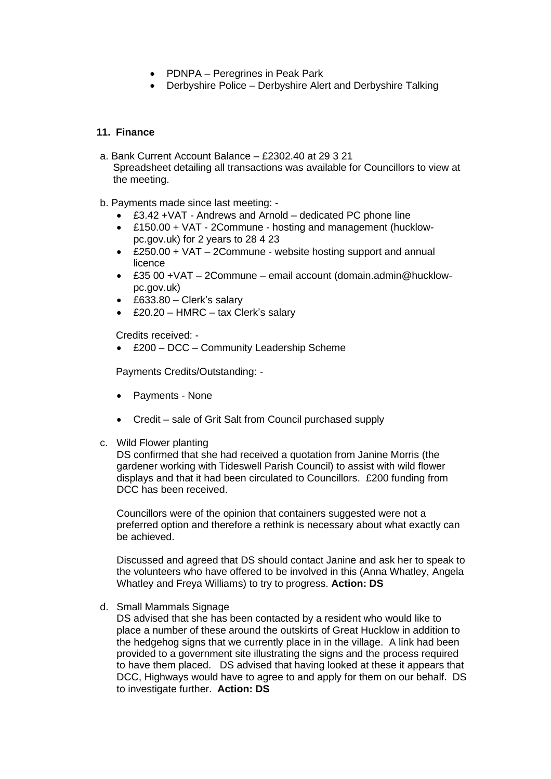- PDNPA Peregrines in Peak Park
- Derbyshire Police Derbyshire Alert and Derbyshire Talking

## **11. Finance**

- a. Bank Current Account Balance £2302.40 at 29 3 21 Spreadsheet detailing all transactions was available for Councillors to view at the meeting.
- b. Payments made since last meeting:
	- £3.42 +VAT Andrews and Arnold dedicated PC phone line
	- £150.00 + VAT 2Commune hosting and management (hucklowpc.gov.uk) for 2 years to 28 4 23
	- £250.00 + VAT 2Commune website hosting support and annual licence
	- £35 00 +VAT 2Commune email account (domain.admin@hucklowpc.gov.uk)
	- £633.80 Clerk's salary
	- £20.20 HMRC tax Clerk's salary

Credits received: -

• £200 – DCC – Community Leadership Scheme

Payments Credits/Outstanding: -

- Payments None
- Credit sale of Grit Salt from Council purchased supply
- c. Wild Flower planting

DS confirmed that she had received a quotation from Janine Morris (the gardener working with Tideswell Parish Council) to assist with wild flower displays and that it had been circulated to Councillors. £200 funding from DCC has been received.

Councillors were of the opinion that containers suggested were not a preferred option and therefore a rethink is necessary about what exactly can be achieved.

Discussed and agreed that DS should contact Janine and ask her to speak to the volunteers who have offered to be involved in this (Anna Whatley, Angela Whatley and Freya Williams) to try to progress. **Action: DS**

d. Small Mammals Signage

DS advised that she has been contacted by a resident who would like to place a number of these around the outskirts of Great Hucklow in addition to the hedgehog signs that we currently place in in the village. A link had been provided to a government site illustrating the signs and the process required to have them placed. DS advised that having looked at these it appears that DCC, Highways would have to agree to and apply for them on our behalf. DS to investigate further. **Action: DS**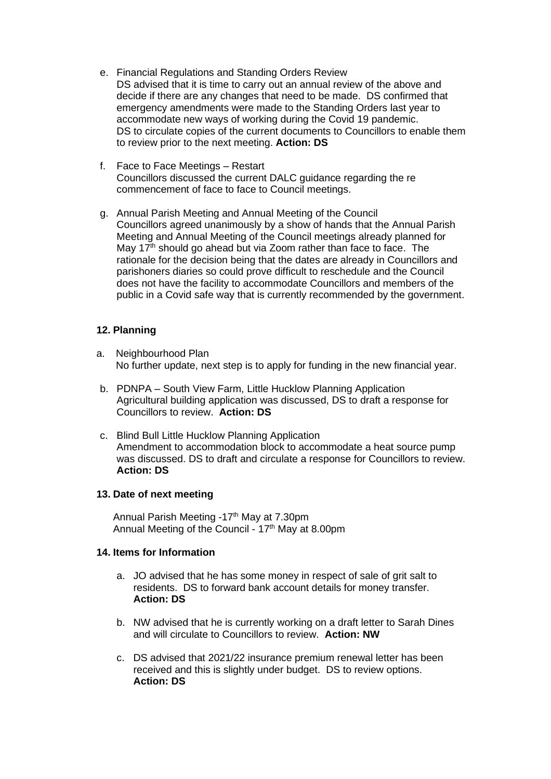- e. Financial Regulations and Standing Orders Review DS advised that it is time to carry out an annual review of the above and decide if there are any changes that need to be made. DS confirmed that emergency amendments were made to the Standing Orders last year to accommodate new ways of working during the Covid 19 pandemic. DS to circulate copies of the current documents to Councillors to enable them to review prior to the next meeting. **Action: DS**
- f. Face to Face Meetings Restart Councillors discussed the current DALC guidance regarding the re commencement of face to face to Council meetings.
- g. Annual Parish Meeting and Annual Meeting of the Council Councillors agreed unanimously by a show of hands that the Annual Parish Meeting and Annual Meeting of the Council meetings already planned for May  $17<sup>th</sup>$  should go ahead but via Zoom rather than face to face. The rationale for the decision being that the dates are already in Councillors and parishoners diaries so could prove difficult to reschedule and the Council does not have the facility to accommodate Councillors and members of the public in a Covid safe way that is currently recommended by the government.

#### **12. Planning**

- a. Neighbourhood Plan No further update, next step is to apply for funding in the new financial year.
- b. PDNPA South View Farm, Little Hucklow Planning Application Agricultural building application was discussed, DS to draft a response for Councillors to review. **Action: DS**
- c. Blind Bull Little Hucklow Planning Application Amendment to accommodation block to accommodate a heat source pump was discussed. DS to draft and circulate a response for Councillors to review. **Action: DS**

#### **13. Date of next meeting**

Annual Parish Meeting -17<sup>th</sup> May at 7.30pm Annual Meeting of the Council - 17<sup>th</sup> May at 8.00pm

#### **14. Items for Information**

- a. JO advised that he has some money in respect of sale of grit salt to residents. DS to forward bank account details for money transfer. **Action: DS**
- b. NW advised that he is currently working on a draft letter to Sarah Dines and will circulate to Councillors to review. **Action: NW**
- c. DS advised that 2021/22 insurance premium renewal letter has been received and this is slightly under budget. DS to review options. **Action: DS**